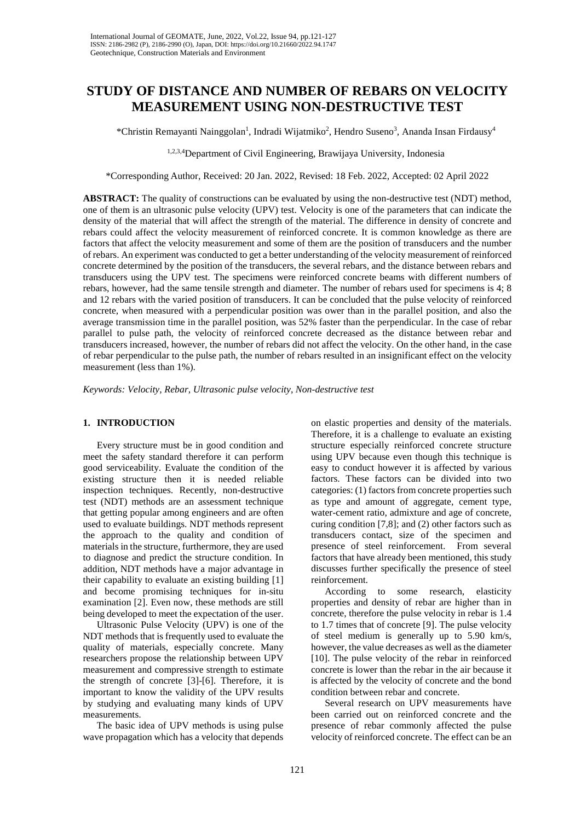# **STUDY OF DISTANCE AND NUMBER OF REBARS ON VELOCITY MEASUREMENT USING NON-DESTRUCTIVE TEST**

\*Christin Remayanti Nainggolan<sup>1</sup>, Indradi Wijatmiko<sup>2</sup>, Hendro Suseno<sup>3</sup>, Ananda Insan Firdausy<sup>4</sup>

1,2,3,4Department of Civil Engineering, Brawijaya University, Indonesia

\*Corresponding Author, Received: 20 Jan. 2022, Revised: 18 Feb. 2022, Accepted: 02 April 2022

**ABSTRACT:** The quality of constructions can be evaluated by using the non-destructive test (NDT) method, one of them is an ultrasonic pulse velocity (UPV) test. Velocity is one of the parameters that can indicate the density of the material that will affect the strength of the material. The difference in density of concrete and rebars could affect the velocity measurement of reinforced concrete. It is common knowledge as there are factors that affect the velocity measurement and some of them are the position of transducers and the number of rebars. An experiment was conducted to get a better understanding of the velocity measurement of reinforced concrete determined by the position of the transducers, the several rebars, and the distance between rebars and transducers using the UPV test. The specimens were reinforced concrete beams with different numbers of rebars, however, had the same tensile strength and diameter. The number of rebars used for specimens is 4; 8 and 12 rebars with the varied position of transducers. It can be concluded that the pulse velocity of reinforced concrete, when measured with a perpendicular position was ower than in the parallel position, and also the average transmission time in the parallel position, was 52% faster than the perpendicular. In the case of rebar parallel to pulse path, the velocity of reinforced concrete decreased as the distance between rebar and transducers increased, however, the number of rebars did not affect the velocity. On the other hand, in the case of rebar perpendicular to the pulse path, the number of rebars resulted in an insignificant effect on the velocity measurement (less than 1%).

*Keywords: Velocity, Rebar, Ultrasonic pulse velocity, Non-destructive test*

### **1. INTRODUCTION**

Every structure must be in good condition and meet the safety standard therefore it can perform good serviceability. Evaluate the condition of the existing structure then it is needed reliable inspection techniques. Recently, non-destructive test (NDT) methods are an assessment technique that getting popular among engineers and are often used to evaluate buildings. NDT methods represent the approach to the quality and condition of materials in the structure, furthermore, they are used to diagnose and predict the structure condition. In addition, NDT methods have a major advantage in their capability to evaluate an existing building [1] and become promising techniques for in-situ examination [2]. Even now, these methods are still being developed to meet the expectation of the user.

Ultrasonic Pulse Velocity (UPV) is one of the NDT methods that is frequently used to evaluate the quality of materials, especially concrete. Many researchers propose the relationship between UPV measurement and compressive strength to estimate the strength of concrete [3]-[6]. Therefore, it is important to know the validity of the UPV results by studying and evaluating many kinds of UPV measurements.

The basic idea of UPV methods is using pulse wave propagation which has a velocity that depends

on elastic properties and density of the materials. Therefore, it is a challenge to evaluate an existing structure especially reinforced concrete structure using UPV because even though this technique is easy to conduct however it is affected by various factors. These factors can be divided into two categories: (1) factors from concrete properties such as type and amount of aggregate, cement type, water-cement ratio, admixture and age of concrete, curing condition [7,8]; and (2) other factors such as transducers contact, size of the specimen and presence of steel reinforcement. From several factors that have already been mentioned, this study discusses further specifically the presence of steel reinforcement.

According to some research, elasticity properties and density of rebar are higher than in concrete, therefore the pulse velocity in rebar is 1.4 to 1.7 times that of concrete [9]. The pulse velocity of steel medium is generally up to 5.90 km/s, however, the value decreases as well as the diameter [10]. The pulse velocity of the rebar in reinforced concrete is lower than the rebar in the air because it is affected by the velocity of concrete and the bond condition between rebar and concrete.

Several research on UPV measurements have been carried out on reinforced concrete and the presence of rebar commonly affected the pulse velocity of reinforced concrete. The effect can be an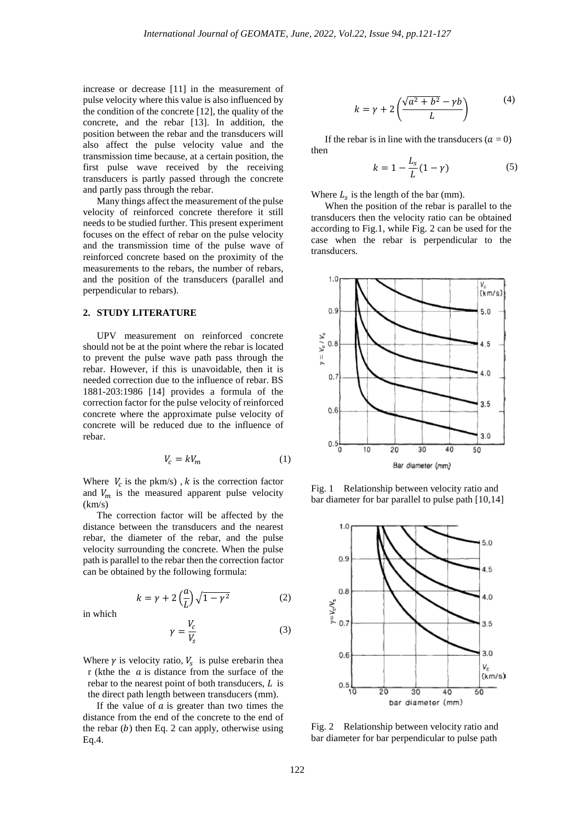increase or decrease [11] in the measurement of pulse velocity where this value is also influenced by the condition of the concrete [12], the quality of the concrete, and the rebar [13]. In addition, the position between the rebar and the transducers will also affect the pulse velocity value and the transmission time because, at a certain position, the first pulse wave received by the receiving transducers is partly passed through the concrete and partly pass through the rebar.

Many things affect the measurement of the pulse velocity of reinforced concrete therefore it still needs to be studied further. This present experiment focuses on the effect of rebar on the pulse velocity and the transmission time of the pulse wave of reinforced concrete based on the proximity of the measurements to the rebars, the number of rebars, and the position of the transducers (parallel and perpendicular to rebars).

#### **2. STUDY LITERATURE**

UPV measurement on reinforced concrete should not be at the point where the rebar is located to prevent the pulse wave path pass through the rebar. However, if this is unavoidable, then it is needed correction due to the influence of rebar. BS 1881-203:1986 [14] provides a formula of the correction factor for the pulse velocity of reinforced concrete where the approximate pulse velocity of concrete will be reduced due to the influence of rebar.

$$
V_c = kV_m \tag{1}
$$

Where  $V_c$  is the pkm/s), k is the correction factor and  $V_m$  is the measured apparent pulse velocity  $(km/s)$ 

The correction factor will be affected by the distance between the transducers and the nearest rebar, the diameter of the rebar, and the pulse velocity surrounding the concrete. When the pulse path is parallel to the rebar then the correction factor can be obtained by the following formula:

$$
k = \gamma + 2\left(\frac{a}{L}\right)\sqrt{1-\gamma^2} \tag{2}
$$

in which

$$
\gamma = \frac{V_c}{V_s} \tag{3}
$$

Where  $\gamma$  is velocity ratio,  $V_s$  is pulse erebarin thea r (kthe the  $a$  is distance from the surface of the rebar to the nearest point of both transducers,  $L$  is the direct path length between transducers (mm).

If the value of  $\alpha$  is greater than two times the distance from the end of the concrete to the end of the rebar  $(b)$  then Eq. 2 can apply, otherwise using Eq.4.

$$
k = \gamma + 2\left(\frac{\sqrt{a^2 + b^2} - \gamma b}{L}\right)
$$
 (4)

If the rebar is in line with the transducers  $(a = 0)$ then

$$
k = 1 - \frac{L_s}{L}(1 - \gamma) \tag{5}
$$

Where  $L_s$  is the length of the bar (mm).

When the position of the rebar is parallel to the transducers then the velocity ratio can be obtained according to Fig.1, while Fig. 2 can be used for the case when the rebar is perpendicular to the transducers.



Fig. 1 Relationship between velocity ratio and bar diameter for bar parallel to pulse path [10,14]



Fig. 2 Relationship between velocity ratio and bar diameter for bar perpendicular to pulse path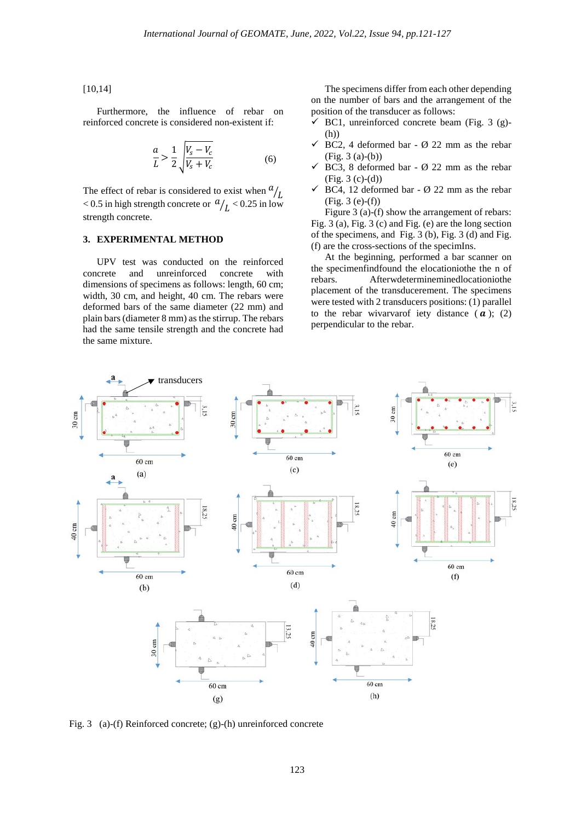#### [10,14]

Furthermore, the influence of rebar on reinforced concrete is considered non-existent if:

$$
\frac{a}{L} > \frac{1}{2} \sqrt{\frac{V_s - V_c}{V_s + V_c}}
$$
\n<sup>(6)</sup>

The effect of rebar is considered to exist when  $\frac{a}{L}$ < 0.5 in high strength concrete or  $a/L < 0.25$  in low strength concrete.

## **3. EXPERIMENTAL METHOD**

UPV test was conducted on the reinforced concrete and unreinforced concrete with dimensions of specimens as follows: length, 60 cm; width, 30 cm, and height, 40 cm. The rebars were deformed bars of the same diameter (22 mm) and plain bars(diameter 8 mm) as the stirrup. The rebars had the same tensile strength and the concrete had the same mixture.

The specimens differ from each other depending on the number of bars and the arrangement of the position of the transducer as follows:

- $\checkmark$  BC1, unreinforced concrete beam (Fig. 3 (g)-(h))
- $\checkmark$  BC2, 4 deformed bar Ø 22 mm as the rebar (Fig. 3 (a)-(b))
- $\checkmark$  BC3, 8 deformed bar Ø 22 mm as the rebar  $(Fig. 3 (c)-(d))$
- $\checkmark$  BC4, 12 deformed bar Ø 22 mm as the rebar  $(Fig. 3 (e)-(f))$

Figure 3 (a)-(f) show the arrangement of rebars: Fig. 3 (a), Fig. 3 (c) and Fig. (e) are the long section of the specimens, and Fig. 3 (b), Fig. 3 (d) and Fig. (f) are the cross-sections of the specimIns.

At the beginning, performed a bar scanner on the specimenfindfound the elocationiothe the n of rebars. Afterwdetermineminedlocationiothe placement of the transducerement. The specimens were tested with 2 transducers positions: (1) parallel to the rebar wivarvarof iety distance  $(a)$ ; (2) perpendicular to the rebar.



Fig. 3 (a)-(f) Reinforced concrete; (g)-(h) unreinforced concrete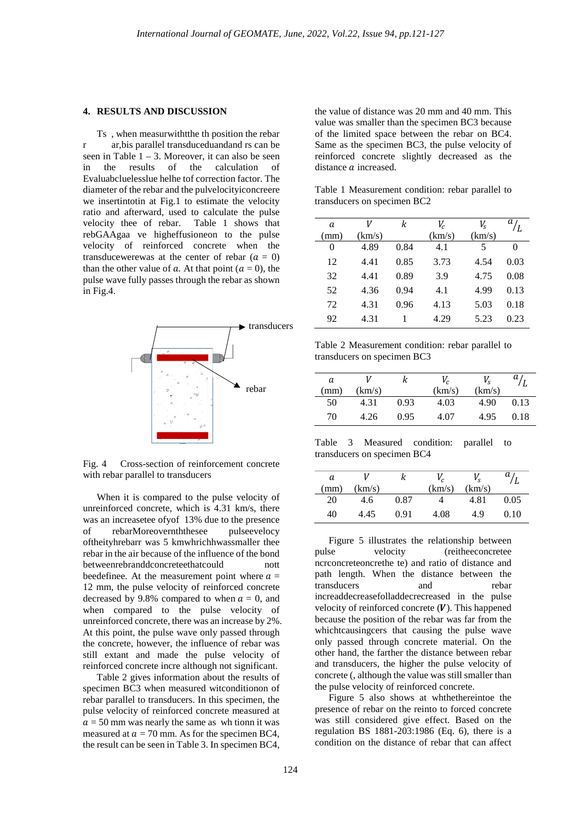### **4. RESULTS AND DISCUSSION**

Ts , when measurwithtthe th position the rebar r ar,bis parallel transduceduandand rs can be seen in Table  $1 - 3$ . Moreover, it can also be seen<br>in the results of the calculation of calculation Evaluabcluelesslue helhe tof correction factor. The diameter of the rebar and the pulvelocityiconcreere we insertintotin at Fig.1 to estimate the velocity ratio and afterward, used to calculate the pulse<br>velocity thee of rebar. Table 1 shows that velocity thee of rebar. rebGAAgaa ve higheffusioneon to the pulse velocity of reinforced concrete when the transducewerewas at the center of rebar  $(a = 0)$ than the other value of a. At that point ( $a = 0$ ), the pulse wave fully passes through the rebar as shown in Fig.4.



Fig. 4 Cross-section of reinforcement concrete with rebar parallel to transducers

When it is compared to the pulse velocity of unreinforced concrete, which is 4.31 km/s, there was an increasetee ofyof 13% due to the presence of rebarMoreovernththesee pulseevelocy oftheityhrebarr was 5 kmwhrichhwassmaller thee rebar in the air because of the influence of the bond betweenrebranddconcreteethatcould nott beedefinee. At the measurement point where  $a =$ 12 mm, the pulse velocity of reinforced concrete decreased by 9.8% compared to when  $a = 0$ , and when compared to the pulse velocity of unreinforced concrete, there was an increase by 2%. At this point, the pulse wave only passed through the concrete, however, the influence of rebar was still extant and made the pulse velocity of reinforced concrete incre although not significant.

Table 2 gives information about the results of specimen BC3 when measured witconditionon of rebar parallel to transducers. In this specimen, the pulse velocity of reinforced concrete measured at  $a = 50$  mm was nearly the same as wh tionn it was measured at  $a = 70$  mm. As for the specimen BC4, the result can be seen in Table 3. In specimen BC4,

the value of distance was 20 mm and 40 mm. This value was smaller than the specimen BC3 because of the limited space between the rebar on BC4. Same as the specimen BC3, the pulse velocity of reinforced concrete slightly decreased as the distance  $\alpha$  increased.

Table 1 Measurement condition: rebar parallel to transducers on specimen BC2

| a    | V      | k    | V <sub>c</sub> | V,     | a i  |
|------|--------|------|----------------|--------|------|
| (mm) | (km/s) |      | (km/s)         | (km/s) |      |
| 0    | 4.89   | 0.84 | 4.1            | 5      | 0    |
| 12   | 4.41   | 0.85 | 3.73           | 4.54   | 0.03 |
| 32   | 4.41   | 0.89 | 3.9            | 4.75   | 0.08 |
| 52   | 4.36   | 0.94 | 4.1            | 4.99   | 0.13 |
| 72   | 4.31   | 0.96 | 4.13           | 5.03   | 0.18 |
| 92   | 4.31   |      | 4.29           | 5.23   | 0.23 |
|      |        |      |                |        |      |

Table 2 Measurement condition: rebar parallel to transducers on specimen BC3

| a<br>mm) | (km/s) |      | V <sub>c</sub><br>(km/s) | $V_{\rm c}$<br>(km/s) | и    |
|----------|--------|------|--------------------------|-----------------------|------|
| 50       | 4.31   | 0.93 | 4.03                     | 4.90                  | 0.13 |
| 70       | 4.26   | 0.95 | 4 O7                     | 4.95                  | 0.18 |

Table 3 Measured condition: parallel to transducers on specimen BC4

| a    | V      | ĸ    | $V_c$  | $V_{\rm c}$ | а    |
|------|--------|------|--------|-------------|------|
| (mm) | (km/s) |      | (km/s) | (km/s)      |      |
| 20   | 4.6    | 0.87 | 4      | 4.81        | 0.05 |
| 40   | 4.45   | 0.91 | 4.08   | 4.9         | 0.10 |

Figure 5 illustrates the relationship between pulse velocity (reitheeconcretee ncrconcreteoncrethe te) and ratio of distance and path length. When the distance between the transducers and rebar increaddecreasefolladdecrecreased in the pulse velocity of reinforced concrete  $(V)$ . This happened because the position of the rebar was far from the whichtcausingcers that causing the pulse wave only passed through concrete material. On the other hand, the farther the distance between rebar and transducers, the higher the pulse velocity of concrete (, although the value was still smaller than the pulse velocity of reinforced concrete.

Figure 5 also shows at whthethereintoe the presence of rebar on the reinto to forced concrete was still considered give effect. Based on the regulation BS 1881-203:1986 (Eq. 6), there is a condition on the distance of rebar that can affect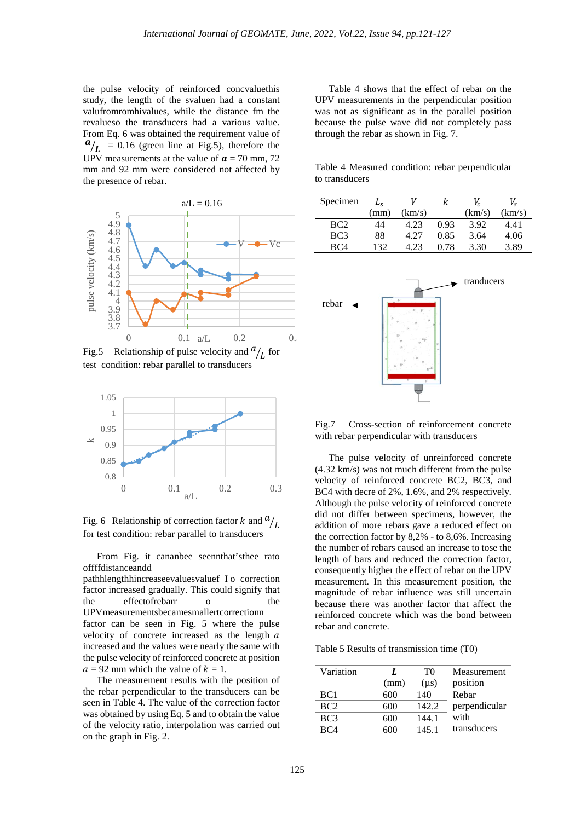the pulse velocity of reinforced concvaluethis study, the length of the svaluen had a constant valufromromhivalues, while the distance fm the revalueso the transducers had a various value. From Eq. 6 was obtained the requirement value of  $a/\mathbf{r} = 0.16$  (green line at Fig.5), therefore the UPV measurements at the value of  $\alpha$  = 70 mm, 72 mm and 92 mm were considered not affected by the presence of rebar.



Fig.5 Relationship of pulse velocity and  $a/_{L}$  for test condition: rebar parallel to transducers



Fig. 6 Relationship of correction factor  $k$  and  $a/$ for test condition: rebar parallel to transducers

From Fig. it cananbee seennthat'sthee rato offffdistanceandd

pathhlengthhincreaseevaluesvaluef I o correction factor increased gradually. This could signify that the effectofrebarr o the UPVmeasurementsbecamesmallertcorrectionn factor can be seen in Fig. 5 where the pulse velocity of concrete increased as the length  $a$ increased and the values were nearly the same with the pulse velocity of reinforced concrete at position  $a = 92$  mm which the value of  $k = 1$ .

The measurement results with the position of the rebar perpendicular to the transducers can be seen in Table 4. The value of the correction factor was obtained by using Eq. 5 and to obtain the value of the velocity ratio, interpolation was carried out on the graph in Fig. 2.

Table 4 shows that the effect of rebar on the UPV measurements in the perpendicular position was not as significant as in the parallel position because the pulse wave did not completely pass through the rebar as shown in Fig. 7.

Table 4 Measured condition: rebar perpendicular to transducers

| Specimen        |      |        | ĸ    |        | V.     |
|-----------------|------|--------|------|--------|--------|
|                 | (mm) | (km/s) |      | (km/s) | (km/s) |
| BC <sub>2</sub> | 44   | 4.23   | 0.93 | 3.92   | 4.41   |
| BC <sub>3</sub> | 88   | 4.27   | 0.85 | 3.64   | 4.06   |
| RC4             | 132  | 4 23   | 0.78 | 3.30   | 3.89   |



Fig.7 Cross-section of reinforcement concrete with rebar perpendicular with transducers

The pulse velocity of unreinforced concrete (4.32 km/s) was not much different from the pulse velocity of reinforced concrete BC2, BC3, and BC4 with decre of 2%, 1.6%, and 2% respectively. Although the pulse velocity of reinforced concrete did not differ between specimens, however, the addition of more rebars gave a reduced effect on the correction factor by 8,2% - to 8,6%. Increasing the number of rebars caused an increase to tose the length of bars and reduced the correction factor, consequently higher the effect of rebar on the UPV measurement. In this measurement position, the magnitude of rebar influence was still uncertain because there was another factor that affect the reinforced concrete which was the bond between rebar and concrete.

Table 5 Results of transmission time (T0)

| Variation       | I.   | T0        | Measurement   |
|-----------------|------|-----------|---------------|
|                 | (mm) | $(\mu s)$ | position      |
| BC <sub>1</sub> | 600  | 140       | Rebar         |
| BC <sub>2</sub> | 600  | 142.2     | perpendicular |
| BC3             | 600  | 144.1     | with          |
| BC <sub>4</sub> | 600  | 145.1     | transducers   |
|                 |      |           |               |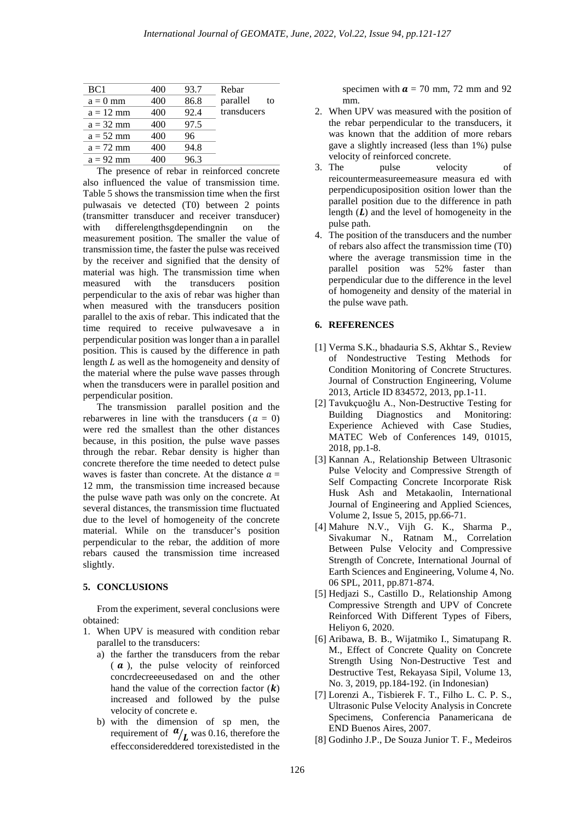| BC <sub>1</sub> | 400 | 93.7 | Rebar          |
|-----------------|-----|------|----------------|
| $a = 0$ mm      | 400 | 86.8 | parallel<br>tο |
| $a = 12$ mm     | 400 | 92.4 | transducers    |
| $a = 32$ mm     | 400 | 97.5 |                |
| $a = 52$ mm     | 400 | 96   |                |
| $a = 72$ mm     | 400 | 94.8 |                |
| $a = 92$ mm     | 400 | 96.3 |                |
|                 |     |      |                |

The presence of rebar in reinforced concrete also influenced the value of transmission time. Table 5 shows the transmission time when the first pulwasais ve detected (T0) between 2 points (transmitter transducer and receiver transducer) with differelengthsgdependingnin on the measurement position. The smaller the value of transmission time, the faster the pulse was received by the receiver and signified that the density of material was high. The transmission time when measured with the transducers position perpendicular to the axis of rebar was higher than when measured with the transducers position parallel to the axis of rebar. This indicated that the time required to receive pulwavesave a in perpendicular position was longer than a in parallel position. This is caused by the difference in path length  $L$  as well as the homogeneity and density of the material where the pulse wave passes through when the transducers were in parallel position and perpendicular position.

The transmission parallel position and the rebarweres in line with the transducers ( $a = 0$ ) were red the smallest than the other distances because, in this position, the pulse wave passes through the rebar. Rebar density is higher than concrete therefore the time needed to detect pulse waves is faster than concrete. At the distance  $a =$ 12 mm, the transmission time increased because the pulse wave path was only on the concrete. At several distances, the transmission time fluctuated due to the level of homogeneity of the concrete material. While on the transducer's position perpendicular to the rebar, the addition of more rebars caused the transmission time increased slightly.

### **5. CONCLUSIONS**

From the experiment, several conclusions were obtained:

- 1. When UPV is measured with condition rebar parallel to the transducers:
	- a) the farther the transducers from the rebar  $(a)$ , the pulse velocity of reinforced concrdecreeeusedased on and the other hand the value of the correction factor  $(\mathbf{k})$ increased and followed by the pulse velocity of concrete e.
	- b) with the dimension of sp men, the requirement of  $a/L$  was 0.16, therefore the effecconsidereddered torexistedisted in the

specimen with  $\boldsymbol{a} = 70$  mm, 72 mm and 92 mm.

- 2. When UPV was measured with the position of the rebar perpendicular to the transducers, it was known that the addition of more rebars gave a slightly increased (less than 1%) pulse velocity of reinforced concrete.<br>3. The pulse velocity
- velocity of reicountermeasureemeasure measura ed with perpendicuposiposition osition lower than the parallel position due to the difference in path length  $(L)$  and the level of homogeneity in the pulse path.
- 4. The position of the transducers and the number of rebars also affect the transmission time (T0) where the average transmission time in the parallel position was 52% faster than perpendicular due to the difference in the level of homogeneity and density of the material in the pulse wave path.

### **6. REFERENCES**

- [1] Verma S.K., bhadauria S.S, Akhtar S., Review of Nondestructive Testing Methods for Condition Monitoring of Concrete Structures. Journal of Construction Engineering, Volume 2013, Article ID 834572, 2013, pp.1-11.
- [2] Tavukçuoğlu A., Non-Destructive Testing for Building Diagnostics and Monitoring: Experience Achieved with Case Studies, MATEC Web of Conferences 149, 01015, 2018, pp.1-8.
- [3] Kannan A., Relationship Between Ultrasonic Pulse Velocity and Compressive Strength of Self Compacting Concrete Incorporate Risk Husk Ash and Metakaolin, International Journal of Engineering and Applied Sciences, Volume 2, Issue 5, 2015, pp.66-71.
- [4] Mahure N.V., Vijh G. K., Sharma P., Sivakumar N., Ratnam M., Correlation Between Pulse Velocity and Compressive Strength of Concrete, International Journal of Earth Sciences and Engineering, Volume 4, No. 06 SPL, 2011, pp.871-874.
- [5] Hedjazi S., Castillo D., Relationship Among Compressive Strength and UPV of Concrete Reinforced With Different Types of Fibers, Heliyon 6, 2020.
- [6] Aribawa, B. B., Wijatmiko I., Simatupang R. M., Effect of Concrete Quality on Concrete Strength Using Non-Destructive Test and Destructive Test, Rekayasa Sipil, Volume 13, No. 3, 2019, pp.184-192. (in Indonesian)
- [7] Lorenzi A., Tisbierek F. T., Filho L. C. P. S., Ultrasonic Pulse Velocity Analysis in Concrete Specimens, Conferencia Panamericana de END Buenos Aires, 2007.
- [8] Godinho J.P., De Souza Junior T. F., Medeiros